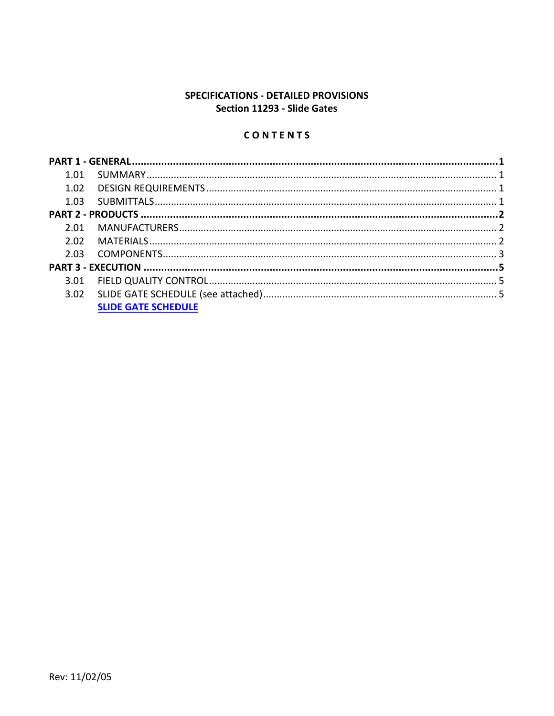## **SPECIFICATIONS - DETAILED PROVISIONS** Section 11293 - Slide Gates

## CONTENTS

| <b>SLIDE GATE SCHEDULE</b> |  |
|----------------------------|--|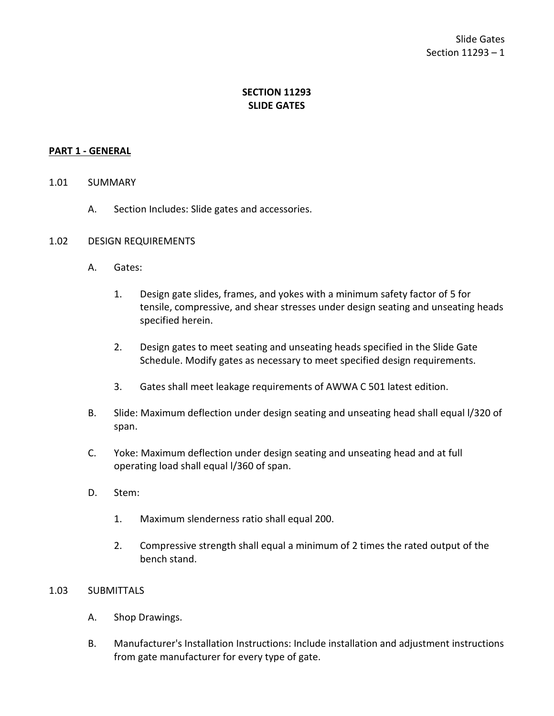## **SECTION 11293 SLIDE GATES**

### <span id="page-2-0"></span>**PART 1 - GENERAL**

- <span id="page-2-1"></span>1.01 SUMMARY
	- A. Section Includes: Slide gates and accessories.
- <span id="page-2-2"></span>1.02 DESIGN REQUIREMENTS
	- A. Gates:
		- 1. Design gate slides, frames, and yokes with a minimum safety factor of 5 for tensile, compressive, and shear stresses under design seating and unseating heads specified herein.
		- 2. Design gates to meet seating and unseating heads specified in the Slide Gate Schedule. Modify gates as necessary to meet specified design requirements.
		- 3. Gates shall meet leakage requirements of AWWA C 501 latest edition.
	- B. Slide: Maximum deflection under design seating and unseating head shall equal l/320 of span.
	- C. Yoke: Maximum deflection under design seating and unseating head and at full operating load shall equal l/360 of span.
	- D. Stem:
		- 1. Maximum slenderness ratio shall equal 200.
		- 2. Compressive strength shall equal a minimum of 2 times the rated output of the bench stand.

#### <span id="page-2-3"></span>1.03 SUBMITTALS

- A. Shop Drawings.
- B. Manufacturer's Installation Instructions: Include installation and adjustment instructions from gate manufacturer for every type of gate.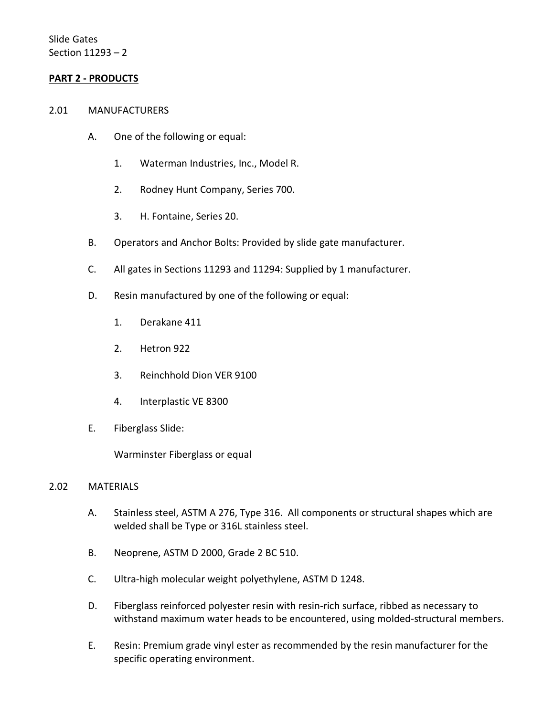Slide Gates Section 11293 – 2

#### <span id="page-3-0"></span>**PART 2 - PRODUCTS**

#### <span id="page-3-1"></span>2.01 MANUFACTURERS

- A. One of the following or equal:
	- 1. Waterman Industries, Inc., Model R.
	- 2. Rodney Hunt Company, Series 700.
	- 3. H. Fontaine, Series 20.
- B. Operators and Anchor Bolts: Provided by slide gate manufacturer.
- C. All gates in Sections 11293 and 11294: Supplied by 1 manufacturer.
- D. Resin manufactured by one of the following or equal:
	- 1. Derakane 411
	- 2. Hetron 922
	- 3. Reinchhold Dion VER 9100
	- 4. Interplastic VE 8300
- E. Fiberglass Slide:

Warminster Fiberglass or equal

#### <span id="page-3-2"></span>2.02 MATERIALS

- A. Stainless steel, ASTM A 276, Type 316. All components or structural shapes which are welded shall be Type or 316L stainless steel.
- B. Neoprene, ASTM D 2000, Grade 2 BC 510.
- C. Ultra-high molecular weight polyethylene, ASTM D 1248.
- D. Fiberglass reinforced polyester resin with resin-rich surface, ribbed as necessary to withstand maximum water heads to be encountered, using molded-structural members.
- E. Resin: Premium grade vinyl ester as recommended by the resin manufacturer for the specific operating environment.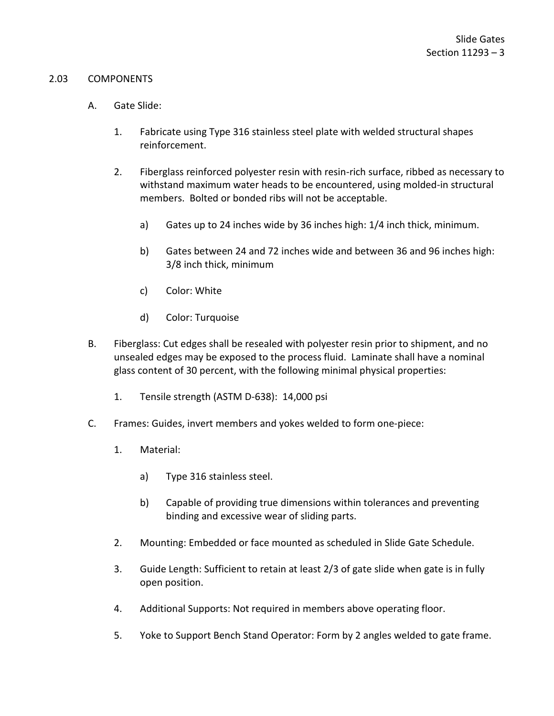### <span id="page-4-0"></span>2.03 COMPONENTS

- A. Gate Slide:
	- 1. Fabricate using Type 316 stainless steel plate with welded structural shapes reinforcement.
	- 2. Fiberglass reinforced polyester resin with resin-rich surface, ribbed as necessary to withstand maximum water heads to be encountered, using molded-in structural members. Bolted or bonded ribs will not be acceptable.
		- a) Gates up to 24 inches wide by 36 inches high: 1/4 inch thick, minimum.
		- b) Gates between 24 and 72 inches wide and between 36 and 96 inches high: 3/8 inch thick, minimum
		- c) Color: White
		- d) Color: Turquoise
- B. Fiberglass: Cut edges shall be resealed with polyester resin prior to shipment, and no unsealed edges may be exposed to the process fluid. Laminate shall have a nominal glass content of 30 percent, with the following minimal physical properties:
	- 1. Tensile strength (ASTM D-638): 14,000 psi
- C. Frames: Guides, invert members and yokes welded to form one-piece:
	- 1. Material:
		- a) Type 316 stainless steel.
		- b) Capable of providing true dimensions within tolerances and preventing binding and excessive wear of sliding parts.
	- 2. Mounting: Embedded or face mounted as scheduled in Slide Gate Schedule.
	- 3. Guide Length: Sufficient to retain at least 2/3 of gate slide when gate is in fully open position.
	- 4. Additional Supports: Not required in members above operating floor.
	- 5. Yoke to Support Bench Stand Operator: Form by 2 angles welded to gate frame.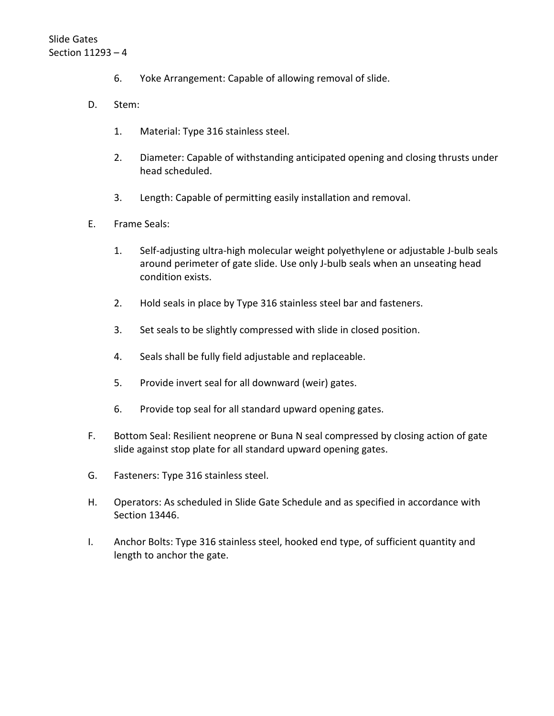- 6. Yoke Arrangement: Capable of allowing removal of slide.
- D. Stem:
	- 1. Material: Type 316 stainless steel.
	- 2. Diameter: Capable of withstanding anticipated opening and closing thrusts under head scheduled.
	- 3. Length: Capable of permitting easily installation and removal.
- E. Frame Seals:
	- 1. Self-adjusting ultra-high molecular weight polyethylene or adjustable J-bulb seals around perimeter of gate slide. Use only J-bulb seals when an unseating head condition exists.
	- 2. Hold seals in place by Type 316 stainless steel bar and fasteners.
	- 3. Set seals to be slightly compressed with slide in closed position.
	- 4. Seals shall be fully field adjustable and replaceable.
	- 5. Provide invert seal for all downward (weir) gates.
	- 6. Provide top seal for all standard upward opening gates.
- F. Bottom Seal: Resilient neoprene or Buna N seal compressed by closing action of gate slide against stop plate for all standard upward opening gates.
- G. Fasteners: Type 316 stainless steel.
- H. Operators: As scheduled in Slide Gate Schedule and as specified in accordance with Section 13446.
- I. Anchor Bolts: Type 316 stainless steel, hooked end type, of sufficient quantity and length to anchor the gate.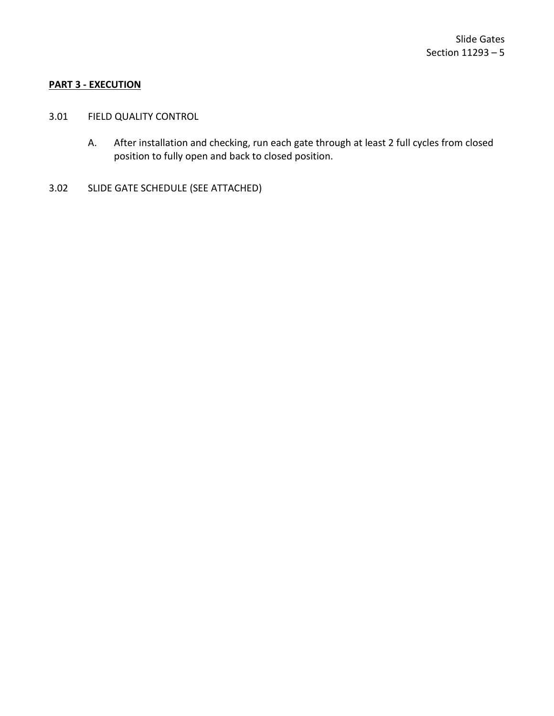### <span id="page-6-0"></span>**PART 3 - EXECUTION**

## <span id="page-6-1"></span>3.01 FIELD QUALITY CONTROL

- A. After installation and checking, run each gate through at least 2 full cycles from closed position to fully open and back to closed position.
- <span id="page-6-2"></span>3.02 SLIDE GATE SCHEDULE (SEE ATTACHED)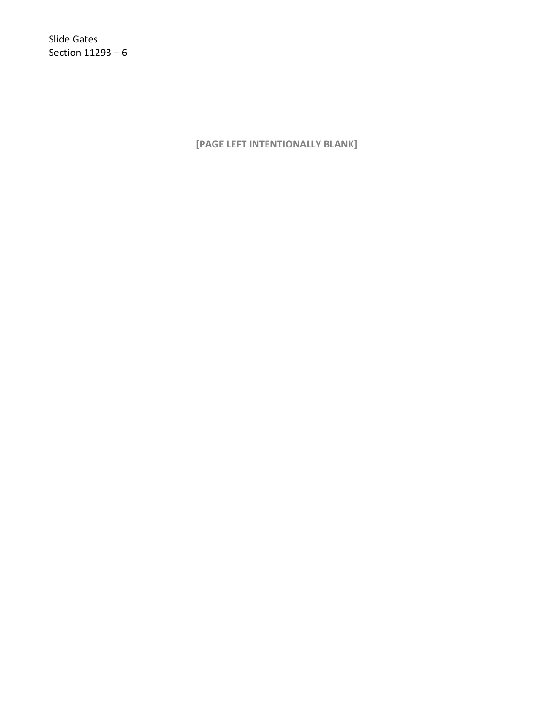Slide Gates Section  $11293 - 6$ 

[PAGE LEFT INTENTIONALLY BLANK]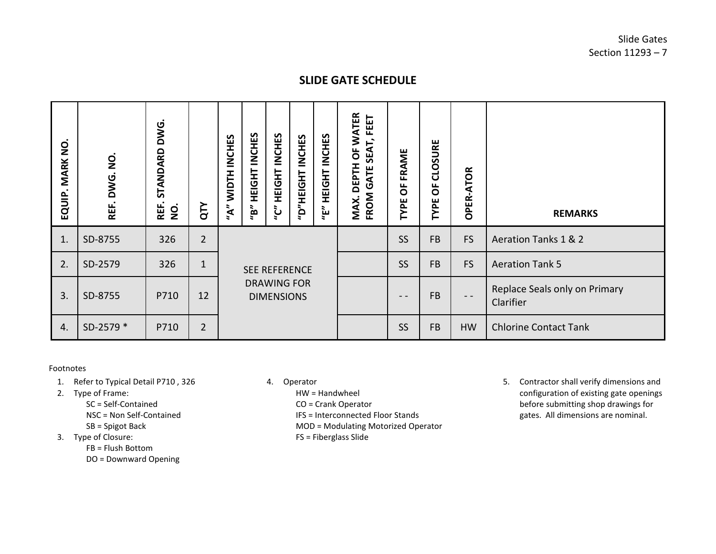## Slide Gates Section 11293 – 7

# **SLIDE GATE SCHEDULE**

| <b>MARK NO</b><br>EQUIP. | $\overline{a}$<br>DWG.<br>REF. | DWG.<br>STANDARD<br>REF.<br>$\dot{9}$ | <b>ALC</b>     | <b>INCHES</b><br><b>WIDTH</b><br>$\mathbf{A}^{\prime\prime}$    | <b>INCHES</b><br><b>HEIGHT</b><br>$\mathbf{a}_n$ | <b>INCHES</b><br>HEIGHT<br>ڹؠ | <b>INCHES</b><br>"D"HEIGHT | <b>INCHES</b><br>HEIGHT<br>$\tilde{\epsilon}$ | WATER<br>EET<br>SEAT,<br>ŏ<br><b>DEPTH</b><br>GATE<br><b>MAX. I</b><br>FROM | FRAME<br>ŏ<br>TYPE | CLOSURE<br>ŏ<br>TYPE | <b>OPER-ATOR</b> | <b>REMARKS</b>                             |
|--------------------------|--------------------------------|---------------------------------------|----------------|-----------------------------------------------------------------|--------------------------------------------------|-------------------------------|----------------------------|-----------------------------------------------|-----------------------------------------------------------------------------|--------------------|----------------------|------------------|--------------------------------------------|
| 1.                       | SD-8755                        | 326                                   | $\overline{2}$ | <b>SEE REFERENCE</b><br><b>DRAWING FOR</b><br><b>DIMENSIONS</b> |                                                  |                               |                            |                                               |                                                                             | <b>SS</b>          | <b>FB</b>            | <b>FS</b>        | Aeration Tanks 1 & 2                       |
| 2.                       | SD-2579                        | 326                                   | $\mathbf{1}$   |                                                                 |                                                  |                               |                            |                                               |                                                                             | <b>SS</b>          | <b>FB</b>            | <b>FS</b>        | <b>Aeration Tank 5</b>                     |
| 3.                       | SD-8755                        | P710                                  | 12             |                                                                 |                                                  |                               |                            |                                               |                                                                             | $ -$               | <b>FB</b>            | $ -$             | Replace Seals only on Primary<br>Clarifier |
| 4.                       | SD-2579 *                      | P710                                  | $\overline{2}$ |                                                                 |                                                  |                               |                            |                                               |                                                                             | <b>SS</b>          | <b>FB</b>            | <b>HW</b>        | <b>Chlorine Contact Tank</b>               |

#### <span id="page-8-0"></span>Footnotes

2. Type of Frame: Sample of Frame: Sample of Frame: Sample of HW = Handwheel

SC = Self-Contained CO = Crank Operator

- 
- 

FB = Flush Bottom DO = Downward Opening

NSC = Non Self-Contained IFS = Interconnected Floor Stands

SB = Spigot Back MOD = Modulating Motorized Operator

3. Type of Closure: FS = Fiberglass Slide

1. Refer to Typical Detail P710, 326 4. Operator 5. Contractor shall verify dimensions and configuration of existing gate openings before submitting shop drawings for gates. All dimensions are nominal.